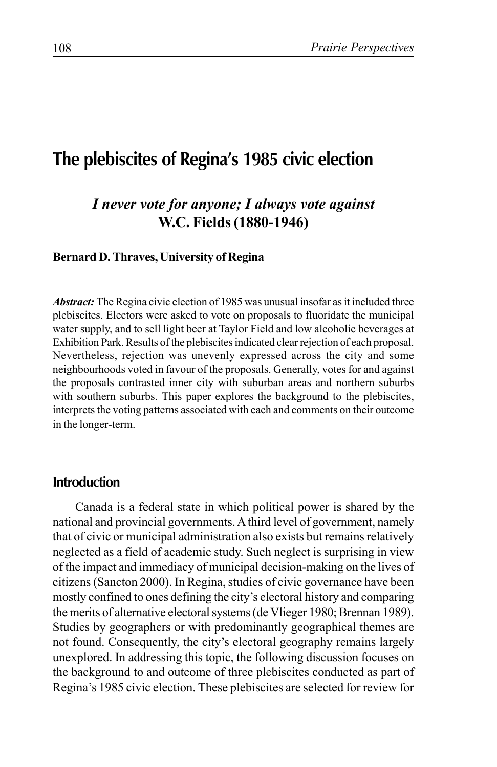# **The plebiscites of Regina's 1985 civic election**

## *I never vote for anyone; I always vote against* **W.C. Fields (1880-1946)**

#### **Bernard D. Thraves, University of Regina**

*Abstract:* The Regina civic election of 1985 was unusual insofar as it included three plebiscites. Electors were asked to vote on proposals to fluoridate the municipal water supply, and to sell light beer at Taylor Field and low alcoholic beverages at Exhibition Park. Results of the plebiscites indicated clear rejection of each proposal. Nevertheless, rejection was unevenly expressed across the city and some neighbourhoods voted in favour of the proposals. Generally, votes for and against the proposals contrasted inner city with suburban areas and northern suburbs with southern suburbs. This paper explores the background to the plebiscites, interprets the voting patterns associated with each and comments on their outcome in the longer-term.

### **Introduction**

Canada is a federal state in which political power is shared by the national and provincial governments. A third level of government, namely that of civic or municipal administration also exists but remains relatively neglected as a field of academic study. Such neglect is surprising in view of the impact and immediacy of municipal decision-making on the lives of citizens (Sancton 2000). In Regina, studies of civic governance have been mostly confined to ones defining the city's electoral history and comparing the merits of alternative electoral systems (de Vlieger 1980; Brennan 1989). Studies by geographers or with predominantly geographical themes are not found. Consequently, the city's electoral geography remains largely unexplored. In addressing this topic, the following discussion focuses on the background to and outcome of three plebiscites conducted as part of Regina's 1985 civic election. These plebiscites are selected for review for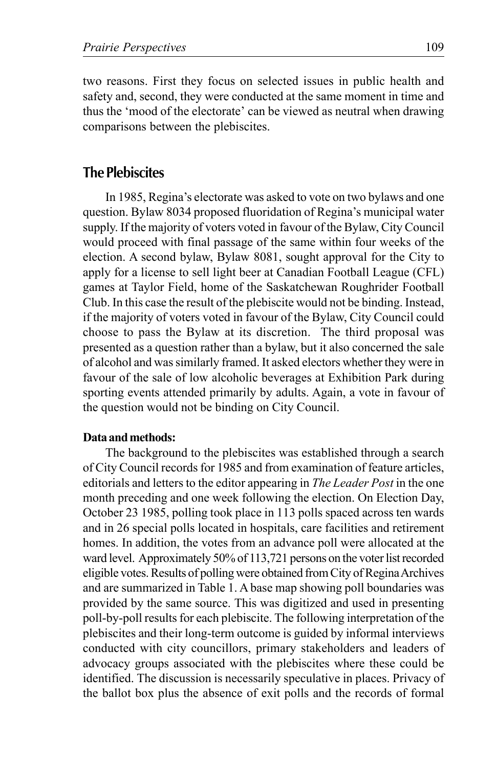two reasons. First they focus on selected issues in public health and safety and, second, they were conducted at the same moment in time and thus the 'mood of the electorate' can be viewed as neutral when drawing comparisons between the plebiscites.

### **The Plebiscites**

In 1985, Regina's electorate was asked to vote on two bylaws and one question. Bylaw 8034 proposed fluoridation of Regina's municipal water supply. If the majority of voters voted in favour of the Bylaw, City Council would proceed with final passage of the same within four weeks of the election. A second bylaw, Bylaw 8081, sought approval for the City to apply for a license to sell light beer at Canadian Football League (CFL) games at Taylor Field, home of the Saskatchewan Roughrider Football Club. In this case the result of the plebiscite would not be binding. Instead, if the majority of voters voted in favour of the Bylaw, City Council could choose to pass the Bylaw at its discretion. The third proposal was presented as a question rather than a bylaw, but it also concerned the sale of alcohol and was similarly framed. It asked electors whether they were in favour of the sale of low alcoholic beverages at Exhibition Park during sporting events attended primarily by adults. Again, a vote in favour of the question would not be binding on City Council.

#### **Data and methods:**

The background to the plebiscites was established through a search of City Council records for 1985 and from examination of feature articles, editorials and letters to the editor appearing in *The Leader Post* in the one month preceding and one week following the election. On Election Day, October 23 1985, polling took place in 113 polls spaced across ten wards and in 26 special polls located in hospitals, care facilities and retirement homes. In addition, the votes from an advance poll were allocated at the ward level. Approximately 50% of 113,721 persons on the voter list recorded eligible votes. Results of polling were obtained from City of Regina Archives and are summarized in Table 1. A base map showing poll boundaries was provided by the same source. This was digitized and used in presenting poll-by-poll results for each plebiscite. The following interpretation of the plebiscites and their long-term outcome is guided by informal interviews conducted with city councillors, primary stakeholders and leaders of advocacy groups associated with the plebiscites where these could be identified. The discussion is necessarily speculative in places. Privacy of the ballot box plus the absence of exit polls and the records of formal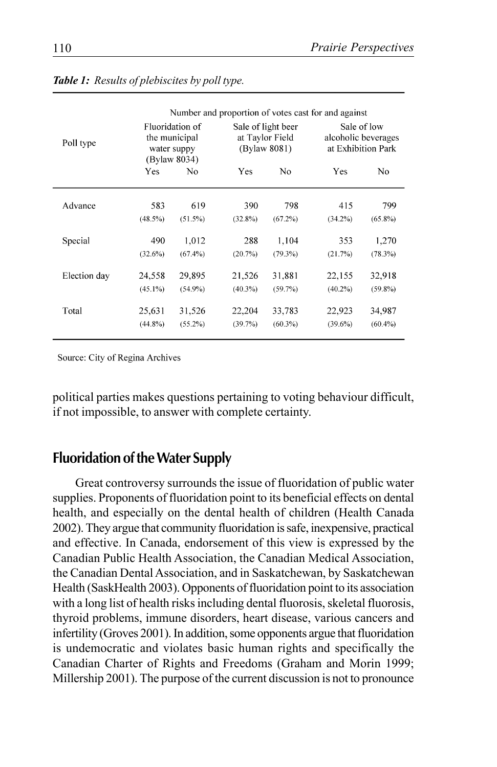|              | Number and proportion of votes cast for and against             |            |                                                       |            |                                                          |            |
|--------------|-----------------------------------------------------------------|------------|-------------------------------------------------------|------------|----------------------------------------------------------|------------|
| Poll type    | Fluoridation of<br>the municipal<br>water suppy<br>(Bylaw 8034) |            | Sale of light beer<br>at Taylor Field<br>(Bylaw 8081) |            | Sale of low<br>alcoholic beverages<br>at Exhibition Park |            |
|              | Yes                                                             | No         | Yes                                                   | No         | Yes                                                      | No         |
| Advance      | 583                                                             | 619        | 390                                                   | 798        | 415                                                      | 799        |
|              | $(48.5\%)$                                                      | $(51.5\%)$ | $(32.8\%)$                                            | $(67.2\%)$ | $(34.2\%)$                                               | $(65.8\%)$ |
|              |                                                                 |            |                                                       |            |                                                          |            |
| Special      | 490                                                             | 1,012      | 288                                                   | 1,104      | 353                                                      | 1,270      |
|              | (32.6%)                                                         | $(67.4\%)$ | (20.7%)                                               | $(79.3\%)$ | (21.7%)                                                  | $(78.3\%)$ |
| Election day | 24,558                                                          | 29,895     | 21,526                                                | 31,881     | 22,155                                                   | 32,918     |
|              | $(45.1\%)$                                                      | $(54.9\%)$ | $(40.3\%)$                                            | (59.7%)    | $(40.2\%)$                                               | $(59.8\%)$ |
| Total        | 25,631                                                          | 31,526     | 22,204                                                | 33,783     | 22,923                                                   | 34,987     |
|              | $(44.8\%)$                                                      | $(55.2\%)$ | (39.7%)                                               | $(60.3\%)$ | $(39.6\%)$                                               | (60.4%)    |

#### *Table 1: Results of plebiscites by poll type.*

Source: City of Regina Archives

political parties makes questions pertaining to voting behaviour difficult, if not impossible, to answer with complete certainty.

### **Fluoridation of the Water Supply**

Great controversy surrounds the issue of fluoridation of public water supplies. Proponents of fluoridation point to its beneficial effects on dental health, and especially on the dental health of children (Health Canada 2002). They argue that community fluoridation is safe, inexpensive, practical and effective. In Canada, endorsement of this view is expressed by the Canadian Public Health Association, the Canadian Medical Association, the Canadian Dental Association, and in Saskatchewan, by Saskatchewan Health (SaskHealth 2003). Opponents of fluoridation point to its association with a long list of health risks including dental fluorosis, skeletal fluorosis, thyroid problems, immune disorders, heart disease, various cancers and infertility (Groves 2001). In addition, some opponents argue that fluoridation is undemocratic and violates basic human rights and specifically the Canadian Charter of Rights and Freedoms (Graham and Morin 1999; Millership 2001). The purpose of the current discussion is not to pronounce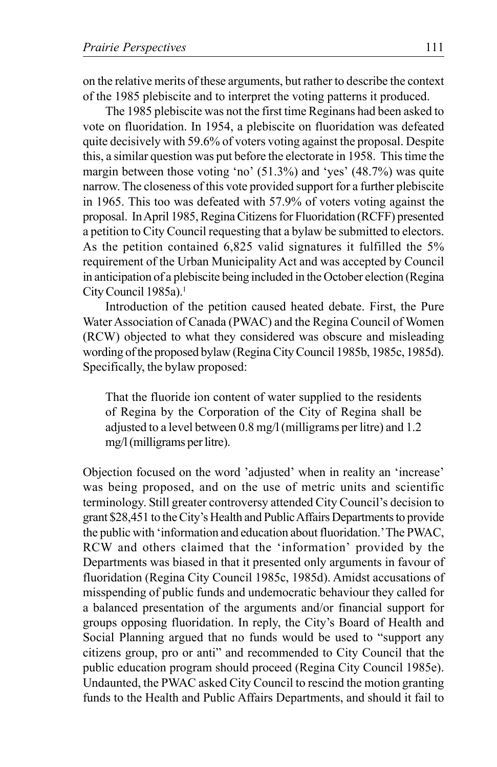on the relative merits of these arguments, but rather to describe the context of the 1985 plebiscite and to interpret the voting patterns it produced.

The 1985 plebiscite was not the first time Reginans had been asked to vote on fluoridation. In 1954, a plebiscite on fluoridation was defeated quite decisively with 59.6% of voters voting against the proposal. Despite this, a similar question was put before the electorate in 1958. This time the margin between those voting 'no' (51.3%) and 'yes' (48.7%) was quite narrow. The closeness of this vote provided support for a further plebiscite in 1965. This too was defeated with 57.9% of voters voting against the proposal. In April 1985, Regina Citizens for Fluoridation (RCFF) presented a petition to City Council requesting that a bylaw be submitted to electors. As the petition contained 6,825 valid signatures it fulfilled the 5% requirement of the Urban Municipality Act and was accepted by Council in anticipation of a plebiscite being included in the October election (Regina City Council 1985a).<sup>1</sup>

Introduction of the petition caused heated debate. First, the Pure Water Association of Canada (PWAC) and the Regina Council of Women (RCW) objected to what they considered was obscure and misleading wording of the proposed bylaw (Regina City Council 1985b, 1985c, 1985d). Specifically, the bylaw proposed:

That the fluoride ion content of water supplied to the residents of Regina by the Corporation of the City of Regina shall be adjusted to a level between 0.8 mg/l (milligrams per litre) and 1.2 mg/l (milligrams per litre).

Objection focused on the word 'adjusted' when in reality an 'increase' was being proposed, and on the use of metric units and scientific terminology. Still greater controversy attended City Council's decision to grant \$28,451 to the City's Health and Public Affairs Departments to provide the public with 'information and education about fluoridation.' The PWAC, RCW and others claimed that the 'information' provided by the Departments was biased in that it presented only arguments in favour of fluoridation (Regina City Council 1985c, 1985d). Amidst accusations of misspending of public funds and undemocratic behaviour they called for a balanced presentation of the arguments and/or financial support for groups opposing fluoridation. In reply, the City's Board of Health and Social Planning argued that no funds would be used to "support any citizens group, pro or anti" and recommended to City Council that the public education program should proceed (Regina City Council 1985e). Undaunted, the PWAC asked City Council to rescind the motion granting funds to the Health and Public Affairs Departments, and should it fail to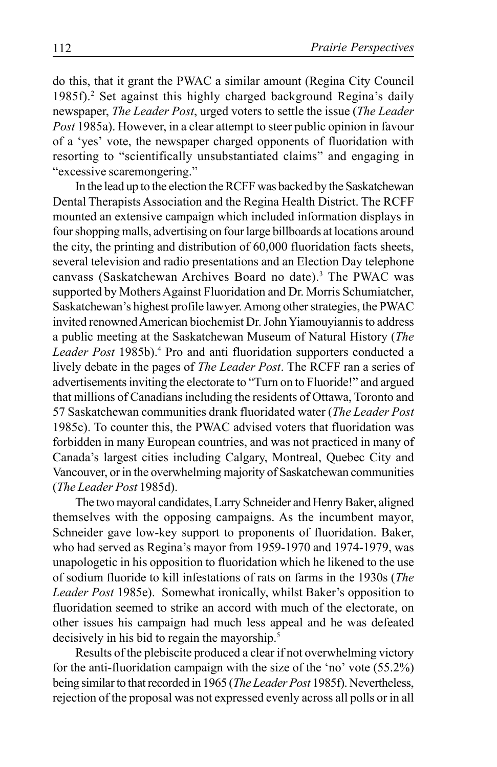do this, that it grant the PWAC a similar amount (Regina City Council 1985f).<sup>2</sup> Set against this highly charged background Regina's daily newspaper, *The Leader Post*, urged voters to settle the issue (*The Leader Post* 1985a). However, in a clear attempt to steer public opinion in favour of a 'yes' vote, the newspaper charged opponents of fluoridation with resorting to "scientifically unsubstantiated claims" and engaging in "excessive scaremongering."

In the lead up to the election the RCFF was backed by the Saskatchewan Dental Therapists Association and the Regina Health District. The RCFF mounted an extensive campaign which included information displays in four shopping malls, advertising on four large billboards at locations around the city, the printing and distribution of 60,000 fluoridation facts sheets, several television and radio presentations and an Election Day telephone canvass (Saskatchewan Archives Board no date).<sup>3</sup> The PWAC was supported by Mothers Against Fluoridation and Dr. Morris Schumiatcher, Saskatchewan's highest profile lawyer. Among other strategies, the PWAC invited renowned American biochemist Dr. John Yiamouyiannis to address a public meeting at the Saskatchewan Museum of Natural History (*The* Leader Post 1985b).<sup>4</sup> Pro and anti fluoridation supporters conducted a lively debate in the pages of *The Leader Post*. The RCFF ran a series of advertisements inviting the electorate to "Turn on to Fluoride!" and argued that millions of Canadians including the residents of Ottawa, Toronto and 57 Saskatchewan communities drank fluoridated water (*The Leader Post* 1985c). To counter this, the PWAC advised voters that fluoridation was forbidden in many European countries, and was not practiced in many of Canada's largest cities including Calgary, Montreal, Quebec City and Vancouver, or in the overwhelming majority of Saskatchewan communities (*The Leader Post* 1985d).

The two mayoral candidates, Larry Schneider and Henry Baker, aligned themselves with the opposing campaigns. As the incumbent mayor, Schneider gave low-key support to proponents of fluoridation. Baker, who had served as Regina's mayor from 1959-1970 and 1974-1979, was unapologetic in his opposition to fluoridation which he likened to the use of sodium fluoride to kill infestations of rats on farms in the 1930s (*The Leader Post* 1985e). Somewhat ironically, whilst Baker's opposition to fluoridation seemed to strike an accord with much of the electorate, on other issues his campaign had much less appeal and he was defeated decisively in his bid to regain the mayorship.<sup>5</sup>

Results of the plebiscite produced a clear if not overwhelming victory for the anti-fluoridation campaign with the size of the 'no' vote (55.2%) being similar to that recorded in 1965 (*The Leader Post* 1985f). Nevertheless, rejection of the proposal was not expressed evenly across all polls or in all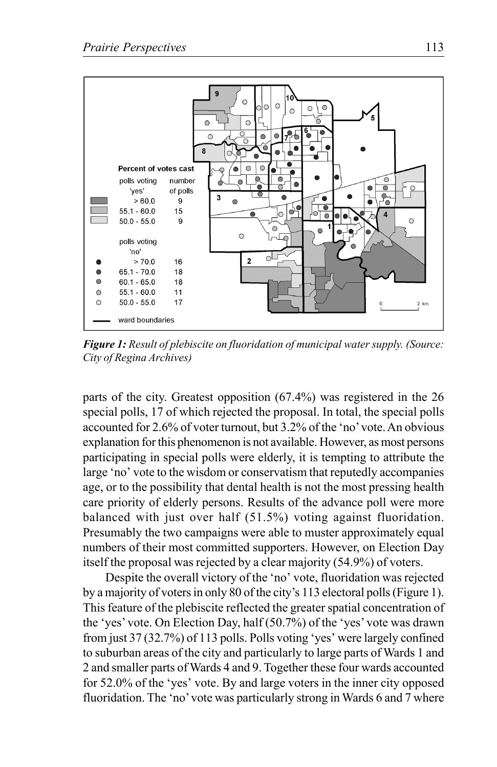

*Figure 1: Result of plebiscite on fluoridation of municipal water supply. (Source: City of Regina Archives)*

parts of the city. Greatest opposition (67.4%) was registered in the 26 special polls, 17 of which rejected the proposal. In total, the special polls accounted for 2.6% of voter turnout, but 3.2% of the 'no' vote. An obvious explanation for this phenomenon is not available. However, as most persons participating in special polls were elderly, it is tempting to attribute the large 'no' vote to the wisdom or conservatism that reputedly accompanies age, or to the possibility that dental health is not the most pressing health care priority of elderly persons. Results of the advance poll were more balanced with just over half (51.5%) voting against fluoridation. Presumably the two campaigns were able to muster approximately equal numbers of their most committed supporters. However, on Election Day itself the proposal was rejected by a clear majority (54.9%) of voters.

Despite the overall victory of the 'no' vote, fluoridation was rejected by a majority of voters in only 80 of the city's 113 electoral polls (Figure 1). This feature of the plebiscite reflected the greater spatial concentration of the 'yes' vote. On Election Day, half (50.7%) of the 'yes' vote was drawn from just 37 (32.7%) of 113 polls. Polls voting 'yes' were largely confined to suburban areas of the city and particularly to large parts of Wards 1 and 2 and smaller parts of Wards 4 and 9. Together these four wards accounted for 52.0% of the 'yes' vote. By and large voters in the inner city opposed fluoridation. The 'no' vote was particularly strong in Wards 6 and 7 where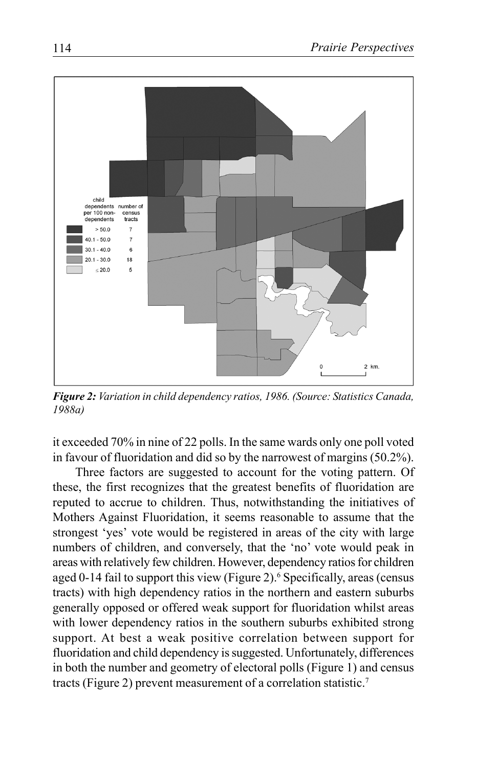

*Figure 2: Variation in child dependency ratios, 1986. (Source: Statistics Canada, 1988a)*

it exceeded 70% in nine of 22 polls. In the same wards only one poll voted in favour of fluoridation and did so by the narrowest of margins (50.2%).

Three factors are suggested to account for the voting pattern. Of these, the first recognizes that the greatest benefits of fluoridation are reputed to accrue to children. Thus, notwithstanding the initiatives of Mothers Against Fluoridation, it seems reasonable to assume that the strongest 'yes' vote would be registered in areas of the city with large numbers of children, and conversely, that the 'no' vote would peak in areas with relatively few children. However, dependency ratios for children aged 0-14 fail to support this view (Figure 2).<sup>6</sup> Specifically, areas (census tracts) with high dependency ratios in the northern and eastern suburbs generally opposed or offered weak support for fluoridation whilst areas with lower dependency ratios in the southern suburbs exhibited strong support. At best a weak positive correlation between support for fluoridation and child dependency is suggested. Unfortunately, differences in both the number and geometry of electoral polls (Figure 1) and census tracts (Figure 2) prevent measurement of a correlation statistic.7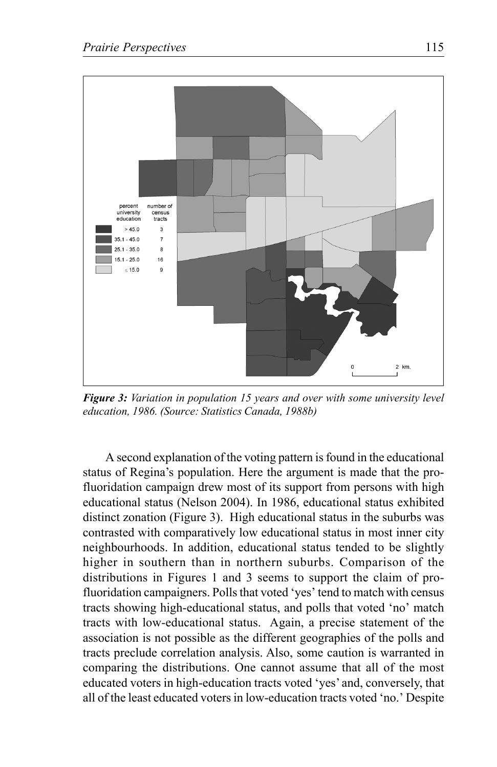

*Figure 3: Variation in population 15 years and over with some university level education, 1986. (Source: Statistics Canada, 1988b)*

A second explanation of the voting pattern is found in the educational status of Regina's population. Here the argument is made that the profluoridation campaign drew most of its support from persons with high educational status (Nelson 2004). In 1986, educational status exhibited distinct zonation (Figure 3). High educational status in the suburbs was contrasted with comparatively low educational status in most inner city neighbourhoods. In addition, educational status tended to be slightly higher in southern than in northern suburbs. Comparison of the distributions in Figures 1 and 3 seems to support the claim of profluoridation campaigners. Polls that voted 'yes' tend to match with census tracts showing high-educational status, and polls that voted 'no' match tracts with low-educational status. Again, a precise statement of the association is not possible as the different geographies of the polls and tracts preclude correlation analysis. Also, some caution is warranted in comparing the distributions. One cannot assume that all of the most educated voters in high-education tracts voted 'yes' and, conversely, that all of the least educated voters in low-education tracts voted 'no.' Despite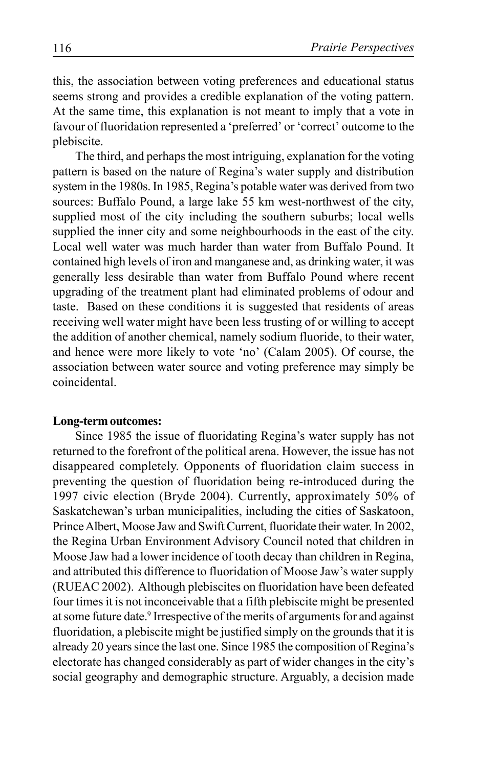this, the association between voting preferences and educational status seems strong and provides a credible explanation of the voting pattern. At the same time, this explanation is not meant to imply that a vote in favour of fluoridation represented a 'preferred' or 'correct' outcome to the plebiscite.

The third, and perhaps the most intriguing, explanation for the voting pattern is based on the nature of Regina's water supply and distribution system in the 1980s. In 1985, Regina's potable water was derived from two sources: Buffalo Pound, a large lake 55 km west-northwest of the city, supplied most of the city including the southern suburbs; local wells supplied the inner city and some neighbourhoods in the east of the city. Local well water was much harder than water from Buffalo Pound. It contained high levels of iron and manganese and, as drinking water, it was generally less desirable than water from Buffalo Pound where recent upgrading of the treatment plant had eliminated problems of odour and taste. Based on these conditions it is suggested that residents of areas receiving well water might have been less trusting of or willing to accept the addition of another chemical, namely sodium fluoride, to their water, and hence were more likely to vote 'no' (Calam 2005). Of course, the association between water source and voting preference may simply be coincidental.

#### **Long-term outcomes:**

Since 1985 the issue of fluoridating Regina's water supply has not returned to the forefront of the political arena. However, the issue has not disappeared completely. Opponents of fluoridation claim success in preventing the question of fluoridation being re-introduced during the 1997 civic election (Bryde 2004). Currently, approximately 50% of Saskatchewan's urban municipalities, including the cities of Saskatoon, Prince Albert, Moose Jaw and Swift Current, fluoridate their water. In 2002, the Regina Urban Environment Advisory Council noted that children in Moose Jaw had a lower incidence of tooth decay than children in Regina, and attributed this difference to fluoridation of Moose Jaw's water supply (RUEAC 2002). Although plebiscites on fluoridation have been defeated four times it is not inconceivable that a fifth plebiscite might be presented at some future date.<sup>9</sup> Irrespective of the merits of arguments for and against fluoridation, a plebiscite might be justified simply on the grounds that it is already 20 years since the last one. Since 1985 the composition of Regina's electorate has changed considerably as part of wider changes in the city's social geography and demographic structure. Arguably, a decision made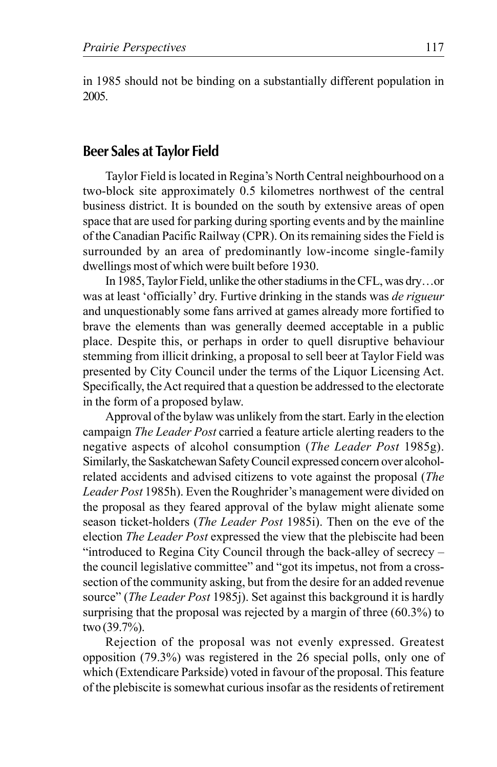in 1985 should not be binding on a substantially different population in 2005.

### **Beer Sales at Taylor Field**

Taylor Field is located in Regina's North Central neighbourhood on a two-block site approximately 0.5 kilometres northwest of the central business district. It is bounded on the south by extensive areas of open space that are used for parking during sporting events and by the mainline of the Canadian Pacific Railway (CPR). On its remaining sides the Field is surrounded by an area of predominantly low-income single-family dwellings most of which were built before 1930.

In 1985, Taylor Field, unlike the other stadiums in the CFL, was dry…or was at least 'officially' dry. Furtive drinking in the stands was *de rigueur* and unquestionably some fans arrived at games already more fortified to brave the elements than was generally deemed acceptable in a public place. Despite this, or perhaps in order to quell disruptive behaviour stemming from illicit drinking, a proposal to sell beer at Taylor Field was presented by City Council under the terms of the Liquor Licensing Act. Specifically, the Act required that a question be addressed to the electorate in the form of a proposed bylaw.

Approval of the bylaw was unlikely from the start. Early in the election campaign *The Leader Post* carried a feature article alerting readers to the negative aspects of alcohol consumption (*The Leader Post* 1985g). Similarly, the Saskatchewan Safety Council expressed concern over alcoholrelated accidents and advised citizens to vote against the proposal (*The Leader Post* 1985h). Even the Roughrider's management were divided on the proposal as they feared approval of the bylaw might alienate some season ticket-holders (*The Leader Post* 1985i). Then on the eve of the election *The Leader Post* expressed the view that the plebiscite had been "introduced to Regina City Council through the back-alley of secrecy – the council legislative committee" and "got its impetus, not from a crosssection of the community asking, but from the desire for an added revenue source" (*The Leader Post* 1985j). Set against this background it is hardly surprising that the proposal was rejected by a margin of three (60.3%) to two (39.7%).

Rejection of the proposal was not evenly expressed. Greatest opposition (79.3%) was registered in the 26 special polls, only one of which (Extendicare Parkside) voted in favour of the proposal. This feature of the plebiscite is somewhat curious insofar as the residents of retirement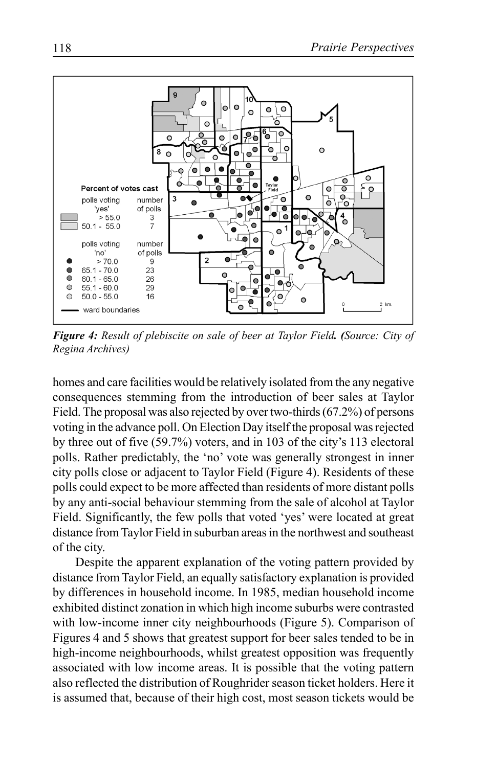

*Figure 4: Result of plebiscite on sale of beer at Taylor Field. (Source: City of Regina Archives)*

homes and care facilities would be relatively isolated from the any negative consequences stemming from the introduction of beer sales at Taylor Field. The proposal was also rejected by over two-thirds (67.2%) of persons voting in the advance poll. On Election Day itself the proposal was rejected by three out of five (59.7%) voters, and in 103 of the city's 113 electoral polls. Rather predictably, the 'no' vote was generally strongest in inner city polls close or adjacent to Taylor Field (Figure 4). Residents of these polls could expect to be more affected than residents of more distant polls by any anti-social behaviour stemming from the sale of alcohol at Taylor Field. Significantly, the few polls that voted 'yes' were located at great distance from Taylor Field in suburban areas in the northwest and southeast of the city.

Despite the apparent explanation of the voting pattern provided by distance from Taylor Field, an equally satisfactory explanation is provided by differences in household income. In 1985, median household income exhibited distinct zonation in which high income suburbs were contrasted with low-income inner city neighbourhoods (Figure 5). Comparison of Figures 4 and 5 shows that greatest support for beer sales tended to be in high-income neighbourhoods, whilst greatest opposition was frequently associated with low income areas. It is possible that the voting pattern also reflected the distribution of Roughrider season ticket holders. Here it is assumed that, because of their high cost, most season tickets would be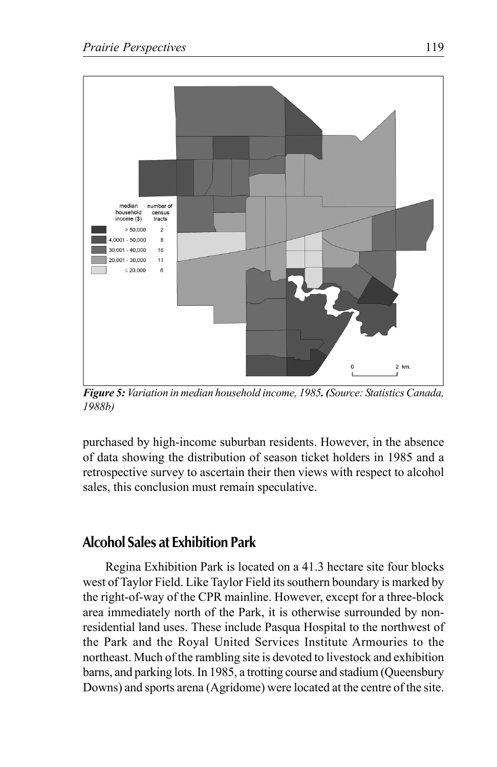

*Figure 5: Variation in median household income, 1985. (Source: Statistics Canada, 1988b)*

purchased by high-income suburban residents. However, in the absence of data showing the distribution of season ticket holders in 1985 and a retrospective survey to ascertain their then views with respect to alcohol sales, this conclusion must remain speculative.

### **Alcohol Sales at Exhibition Park**

Regina Exhibition Park is located on a 41.3 hectare site four blocks west of Taylor Field. Like Taylor Field its southern boundary is marked by the right-of-way of the CPR mainline. However, except for a three-block area immediately north of the Park, it is otherwise surrounded by nonresidential land uses. These include Pasqua Hospital to the northwest of the Park and the Royal United Services Institute Armouries to the northeast. Much of the rambling site is devoted to livestock and exhibition barns, and parking lots. In 1985, a trotting course and stadium (Queensbury Downs) and sports arena (Agridome) were located at the centre of the site.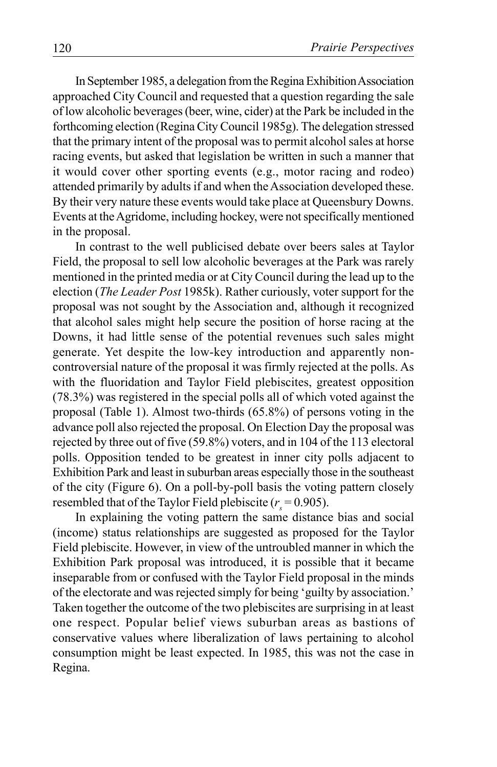In September 1985, a delegation from the Regina Exhibition Association approached City Council and requested that a question regarding the sale of low alcoholic beverages (beer, wine, cider) at the Park be included in the forthcoming election (Regina City Council 1985g). The delegation stressed that the primary intent of the proposal was to permit alcohol sales at horse racing events, but asked that legislation be written in such a manner that it would cover other sporting events (e.g., motor racing and rodeo) attended primarily by adults if and when the Association developed these. By their very nature these events would take place at Queensbury Downs. Events at the Agridome, including hockey, were not specifically mentioned in the proposal.

In contrast to the well publicised debate over beers sales at Taylor Field, the proposal to sell low alcoholic beverages at the Park was rarely mentioned in the printed media or at City Council during the lead up to the election (*The Leader Post* 1985k). Rather curiously, voter support for the proposal was not sought by the Association and, although it recognized that alcohol sales might help secure the position of horse racing at the Downs, it had little sense of the potential revenues such sales might generate. Yet despite the low-key introduction and apparently noncontroversial nature of the proposal it was firmly rejected at the polls. As with the fluoridation and Taylor Field plebiscites, greatest opposition (78.3%) was registered in the special polls all of which voted against the proposal (Table 1). Almost two-thirds (65.8%) of persons voting in the advance poll also rejected the proposal. On Election Day the proposal was rejected by three out of five (59.8%) voters, and in 104 of the 113 electoral polls. Opposition tended to be greatest in inner city polls adjacent to Exhibition Park and least in suburban areas especially those in the southeast of the city (Figure 6). On a poll-by-poll basis the voting pattern closely resembled that of the Taylor Field plebiscite ( $r<sub>s</sub> = 0.905$ ).

In explaining the voting pattern the same distance bias and social (income) status relationships are suggested as proposed for the Taylor Field plebiscite. However, in view of the untroubled manner in which the Exhibition Park proposal was introduced, it is possible that it became inseparable from or confused with the Taylor Field proposal in the minds of the electorate and was rejected simply for being 'guilty by association.' Taken together the outcome of the two plebiscites are surprising in at least one respect. Popular belief views suburban areas as bastions of conservative values where liberalization of laws pertaining to alcohol consumption might be least expected. In 1985, this was not the case in Regina.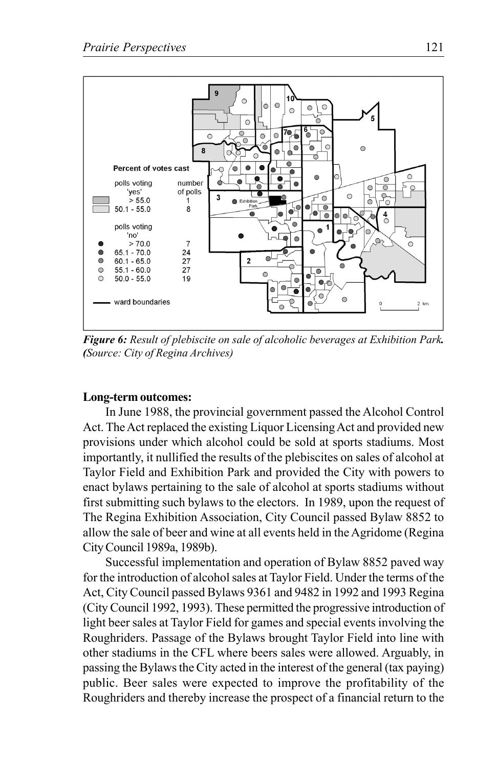

*Figure 6: Result of plebiscite on sale of alcoholic beverages at Exhibition Park. (Source: City of Regina Archives)*

#### **Long-term outcomes:**

In June 1988, the provincial government passed the Alcohol Control Act. The Act replaced the existing Liquor Licensing Act and provided new provisions under which alcohol could be sold at sports stadiums. Most importantly, it nullified the results of the plebiscites on sales of alcohol at Taylor Field and Exhibition Park and provided the City with powers to enact bylaws pertaining to the sale of alcohol at sports stadiums without first submitting such bylaws to the electors. In 1989, upon the request of The Regina Exhibition Association, City Council passed Bylaw 8852 to allow the sale of beer and wine at all events held in the Agridome (Regina City Council 1989a, 1989b).

Successful implementation and operation of Bylaw 8852 paved way for the introduction of alcohol sales at Taylor Field. Under the terms of the Act, City Council passed Bylaws 9361 and 9482 in 1992 and 1993 Regina (City Council 1992, 1993). These permitted the progressive introduction of light beer sales at Taylor Field for games and special events involving the Roughriders. Passage of the Bylaws brought Taylor Field into line with other stadiums in the CFL where beers sales were allowed. Arguably, in passing the Bylaws the City acted in the interest of the general (tax paying) public. Beer sales were expected to improve the profitability of the Roughriders and thereby increase the prospect of a financial return to the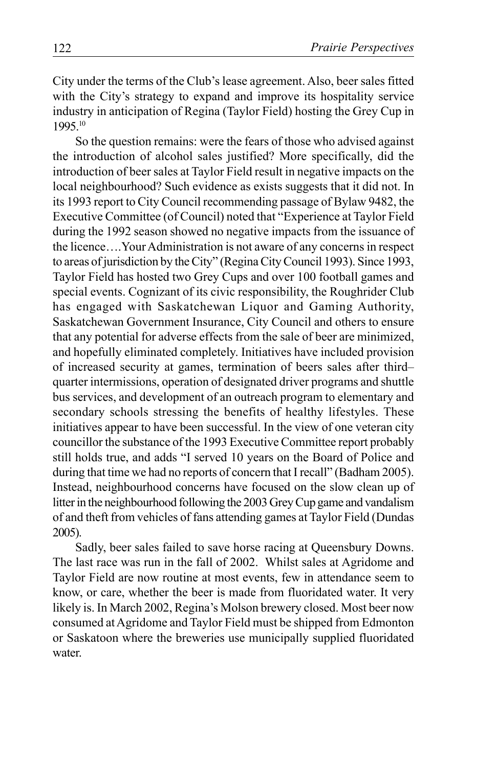City under the terms of the Club's lease agreement. Also, beer sales fitted with the City's strategy to expand and improve its hospitality service industry in anticipation of Regina (Taylor Field) hosting the Grey Cup in 1995.10

So the question remains: were the fears of those who advised against the introduction of alcohol sales justified? More specifically, did the introduction of beer sales at Taylor Field result in negative impacts on the local neighbourhood? Such evidence as exists suggests that it did not. In its 1993 report to City Council recommending passage of Bylaw 9482, the Executive Committee (of Council) noted that "Experience at Taylor Field during the 1992 season showed no negative impacts from the issuance of the licence….Your Administration is not aware of any concerns in respect to areas of jurisdiction by the City" (Regina City Council 1993). Since 1993, Taylor Field has hosted two Grey Cups and over 100 football games and special events. Cognizant of its civic responsibility, the Roughrider Club has engaged with Saskatchewan Liquor and Gaming Authority, Saskatchewan Government Insurance, City Council and others to ensure that any potential for adverse effects from the sale of beer are minimized, and hopefully eliminated completely. Initiatives have included provision of increased security at games, termination of beers sales after third– quarter intermissions, operation of designated driver programs and shuttle bus services, and development of an outreach program to elementary and secondary schools stressing the benefits of healthy lifestyles. These initiatives appear to have been successful. In the view of one veteran city councillor the substance of the 1993 Executive Committee report probably still holds true, and adds "I served 10 years on the Board of Police and during that time we had no reports of concern that I recall" (Badham 2005). Instead, neighbourhood concerns have focused on the slow clean up of litter in the neighbourhood following the 2003 Grey Cup game and vandalism of and theft from vehicles of fans attending games at Taylor Field (Dundas 2005).

Sadly, beer sales failed to save horse racing at Queensbury Downs. The last race was run in the fall of 2002. Whilst sales at Agridome and Taylor Field are now routine at most events, few in attendance seem to know, or care, whether the beer is made from fluoridated water. It very likely is. In March 2002, Regina's Molson brewery closed. Most beer now consumed at Agridome and Taylor Field must be shipped from Edmonton or Saskatoon where the breweries use municipally supplied fluoridated water.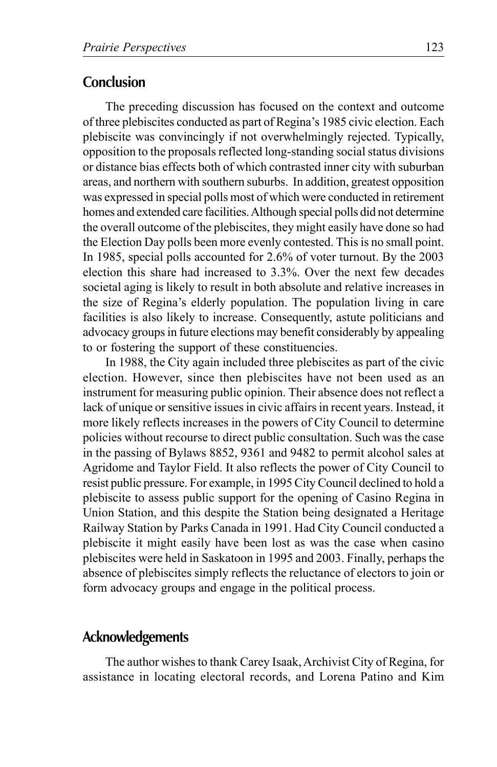### **Conclusion**

The preceding discussion has focused on the context and outcome of three plebiscites conducted as part of Regina's 1985 civic election. Each plebiscite was convincingly if not overwhelmingly rejected. Typically, opposition to the proposals reflected long-standing social status divisions or distance bias effects both of which contrasted inner city with suburban areas, and northern with southern suburbs. In addition, greatest opposition was expressed in special polls most of which were conducted in retirement homes and extended care facilities. Although special polls did not determine the overall outcome of the plebiscites, they might easily have done so had the Election Day polls been more evenly contested. This is no small point. In 1985, special polls accounted for 2.6% of voter turnout. By the 2003 election this share had increased to 3.3%. Over the next few decades societal aging is likely to result in both absolute and relative increases in the size of Regina's elderly population. The population living in care facilities is also likely to increase. Consequently, astute politicians and advocacy groups in future elections may benefit considerably by appealing to or fostering the support of these constituencies.

In 1988, the City again included three plebiscites as part of the civic election. However, since then plebiscites have not been used as an instrument for measuring public opinion. Their absence does not reflect a lack of unique or sensitive issues in civic affairs in recent years. Instead, it more likely reflects increases in the powers of City Council to determine policies without recourse to direct public consultation. Such was the case in the passing of Bylaws 8852, 9361 and 9482 to permit alcohol sales at Agridome and Taylor Field. It also reflects the power of City Council to resist public pressure. For example, in 1995 City Council declined to hold a plebiscite to assess public support for the opening of Casino Regina in Union Station, and this despite the Station being designated a Heritage Railway Station by Parks Canada in 1991. Had City Council conducted a plebiscite it might easily have been lost as was the case when casino plebiscites were held in Saskatoon in 1995 and 2003. Finally, perhaps the absence of plebiscites simply reflects the reluctance of electors to join or form advocacy groups and engage in the political process.

### **Acknowledgements**

The author wishes to thank Carey Isaak, Archivist City of Regina, for assistance in locating electoral records, and Lorena Patino and Kim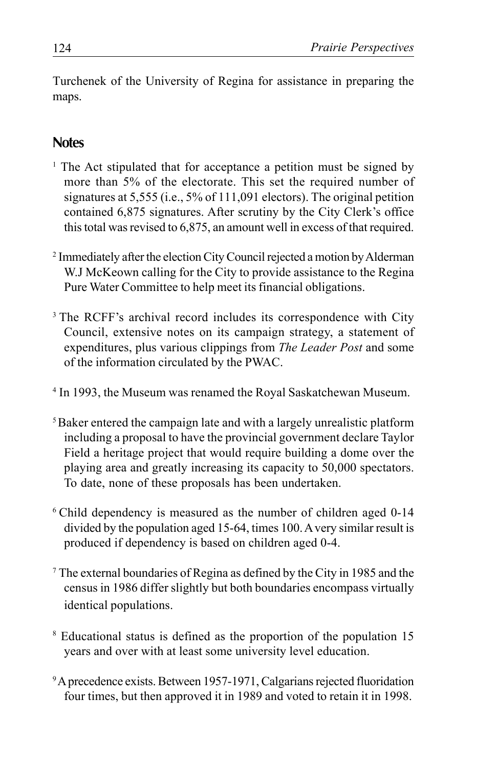Turchenek of the University of Regina for assistance in preparing the maps.

# **Notes**

- <sup>1</sup> The Act stipulated that for acceptance a petition must be signed by more than 5% of the electorate. This set the required number of signatures at 5,555 (i.e., 5% of 111,091 electors). The original petition contained 6,875 signatures. After scrutiny by the City Clerk's office this total was revised to 6,875, an amount well in excess of that required.
- 2 Immediately after the election City Council rejected a motion by Alderman W.J McKeown calling for the City to provide assistance to the Regina Pure Water Committee to help meet its financial obligations.
- <sup>3</sup> The RCFF's archival record includes its correspondence with City Council, extensive notes on its campaign strategy, a statement of expenditures, plus various clippings from *The Leader Post* and some of the information circulated by the PWAC.
- <sup>4</sup> In 1993, the Museum was renamed the Royal Saskatchewan Museum.
- 5 Baker entered the campaign late and with a largely unrealistic platform including a proposal to have the provincial government declare Taylor Field a heritage project that would require building a dome over the playing area and greatly increasing its capacity to 50,000 spectators. To date, none of these proposals has been undertaken.
- <sup>6</sup> Child dependency is measured as the number of children aged 0-14 divided by the population aged 15-64, times 100. Avery similar result is produced if dependency is based on children aged 0-4.
- 7 The external boundaries of Regina as defined by the City in 1985 and the census in 1986 differ slightly but both boundaries encompass virtually identical populations.
- <sup>8</sup> Educational status is defined as the proportion of the population 15 years and over with at least some university level education.
- <sup>9</sup> A precedence exists. Between 1957-1971, Calgarians rejected fluoridation four times, but then approved it in 1989 and voted to retain it in 1998.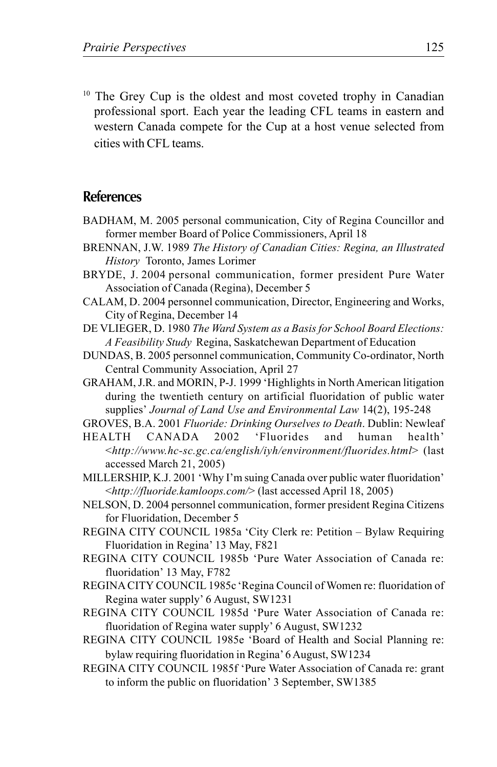<sup>10</sup> The Grey Cup is the oldest and most coveted trophy in Canadian professional sport. Each year the leading CFL teams in eastern and western Canada compete for the Cup at a host venue selected from cities with CFL teams.

### **References**

- BADHAM, M. 2005 personal communication, City of Regina Councillor and former member Board of Police Commissioners, April 18
- BRENNAN, J.W. 1989 *The History of Canadian Cities: Regina, an Illustrated History* Toronto, James Lorimer
- BRYDE, J. 2004 personal communication, former president Pure Water Association of Canada (Regina), December 5
- CALAM, D. 2004 personnel communication, Director, Engineering and Works, City of Regina, December 14
- DE VLIEGER, D. 1980 *The Ward System as a Basis for School Board Elections: A Feasibility Study* Regina, Saskatchewan Department of Education
- DUNDAS, B. 2005 personnel communication, Community Co-ordinator, North Central Community Association, April 27
- GRAHAM, J.R. and MORIN, P-J. 1999 'Highlights in North American litigation during the twentieth century on artificial fluoridation of public water supplies' *Journal of Land Use and Environmental Law* 14(2), 195-248
- GROVES, B.A. 2001 *Fluoride: Drinking Ourselves to Death*. Dublin: Newleaf
- HEALTH CANADA 2002 'Fluorides and human health' <*http://www.hc-sc.gc.ca/english/iyh/environment/fluorides.html*> (last accessed March 21, 2005)
- MILLERSHIP, K.J. 2001 'Why I'm suing Canada over public water fluoridation' <*http://fluoride.kamloops.com/*> (last accessed April 18, 2005)
- NELSON, D. 2004 personnel communication, former president Regina Citizens for Fluoridation, December 5
- REGINA CITY COUNCIL 1985a 'City Clerk re: Petition Bylaw Requiring Fluoridation in Regina' 13 May, F821
- REGINA CITY COUNCIL 1985b 'Pure Water Association of Canada re: fluoridation' 13 May, F782
- REGINA CITY COUNCIL 1985c 'Regina Council of Women re: fluoridation of Regina water supply' 6 August, SW1231
- REGINA CITY COUNCIL 1985d 'Pure Water Association of Canada re: fluoridation of Regina water supply' 6 August, SW1232
- REGINA CITY COUNCIL 1985e 'Board of Health and Social Planning re: bylaw requiring fluoridation in Regina' 6 August, SW1234
- REGINA CITY COUNCIL 1985f 'Pure Water Association of Canada re: grant to inform the public on fluoridation' 3 September, SW1385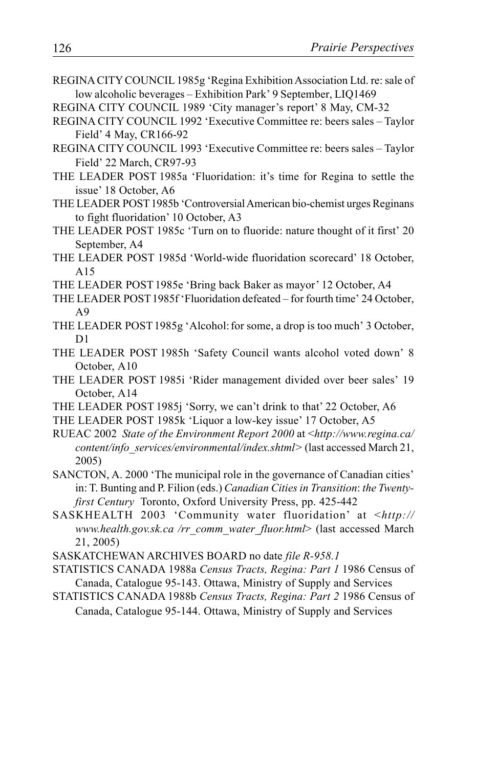- REGINA CITY COUNCIL 1985g 'Regina Exhibition Association Ltd. re: sale of low alcoholic beverages – Exhibition Park' 9 September, LIQ1469
- REGINA CITY COUNCIL 1989 'City manager's report' 8 May, CM-32
- REGINA CITY COUNCIL 1992 'Executive Committee re: beers sales Taylor Field' 4 May, CR166-92
- REGINA CITY COUNCIL 1993 'Executive Committee re: beers sales Taylor Field' 22 March, CR97-93
- THE LEADER POST 1985a 'Fluoridation: it's time for Regina to settle the issue' 18 October, A6
- THE LEADER POST1985b 'Controversial American bio-chemist urges Reginans to fight fluoridation' 10 October, A3
- THE LEADER POST 1985c 'Turn on to fluoride: nature thought of it first' 20 September, A4
- THE LEADER POST 1985d 'World-wide fluoridation scorecard' 18 October, A15
- THE LEADER POST1985e 'Bring back Baker as mayor' 12 October, A4
- THE LEADER POST 1985f 'Fluoridation defeated for fourth time' 24 October, A9
- THE LEADER POST1985g 'Alcohol:for some, a drop is too much' 3 October, D1
- THE LEADER POST 1985h 'Safety Council wants alcohol voted down' 8 October, A10
- THE LEADER POST 1985i 'Rider management divided over beer sales' 19 October, A14
- THE LEADER POST 1985j 'Sorry, we can't drink to that' 22 October, A6
- THE LEADER POST 1985k 'Liquor a low-key issue' 17 October, A5
- RUEAC 2002 *State of the Environment Report 2000* at <*http://www.regina.ca/ content/info\_services/environmental/index.shtml>* (last accessed March 21, 2005)
- SANCTON, A. 2000 'The municipal role in the governance of Canadian cities' in: T. Bunting and P. Filion (eds.) *Canadian Cities in Transition*: *the Twentyfirst Century* Toronto, Oxford University Press, pp. 425-442
- SASKHEALTH 2003 'Community water fluoridation' at <*http:// www.health.gov.sk.ca /rr\_comm\_water\_fluor.html*> (last accessed March 21, 2005)
- SASKATCHEWAN ARCHIVES BOARD no date *file R-958.1*
- STATISTICS CANADA 1988a *Census Tracts, Regina: Part 1* 1986 Census of Canada, Catalogue 95-143. Ottawa, Ministry of Supply and Services
- STATISTICS CANADA 1988b *Census Tracts, Regina: Part 2* 1986 Census of Canada, Catalogue 95-144. Ottawa, Ministry of Supply and Services